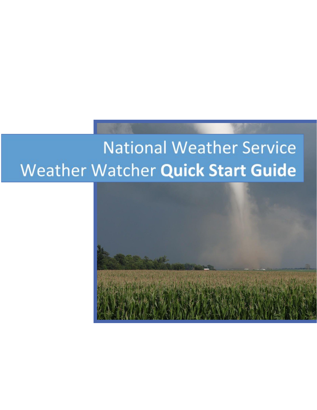# **National Weather Service** Weather Watcher Quick Start Guide

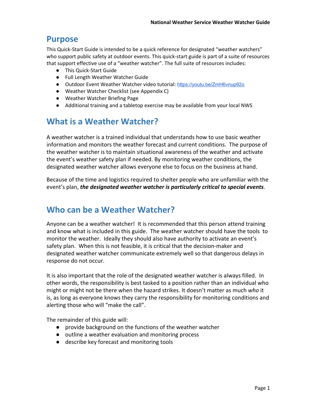## **Purpose**

This Quick-Start Guide is intended to be a quick reference for designated "weather watchers" who support public safety at outdoor events. This quick-start guide is part of a suite of resources that support effective use of a "weather watcher". The full suite of resources includes:

- This Quick-Start Guide
- Full Length Weather Watcher Guide
- Outdoor Event Weather Watcher video tutorial: <https://youtu.be/ZmH6vnup92o>
- Weather Watcher Checklist (see Appendix C)
- Weather Watcher Briefing Page
- **●** Additional training and a tabletop exercise may be available from your local NWS

# **What is a Weather Watcher?**

A weather watcher is a trained individual that understands how to use basic weather information and monitors the weather forecast and current conditions. The purpose of the weather watcher is to maintain situational awareness of the weather and activate the event's weather safety plan if needed. By monitoring weather conditions, the designated weather watcher allows everyone else to focus on the business at hand.

Because of the time and logistics required to shelter people who are unfamiliar with the event's plan, *the designated weather watcher is particularly critical to special events*.

# **Who can be a Weather Watcher?**

Anyone can be a weather watcher! It is recommended that this person attend training and know what is included in this guide. The weather watcher should have the tools to monitor the weather. Ideally they should also have authority to activate an event's safety plan. When this is not feasible, it is critical that the decision-maker and designated weather watcher communicate extremely well so that dangerous delays in response do not occur.

It is also important that the role of the designated weather watcher is always filled. In other words, the responsibility is best tasked to a position rather than an individual who might or might not be there when the hazard strikes. It doesn't matter as much *who* it is, as long as everyone knows they carry the responsibility for monitoring conditions and alerting those who will "make the call".

The remainder of this guide will:

- provide background on the functions of the weather watcher
- outline a weather evaluation and monitoring process
- describe key forecast and monitoring tools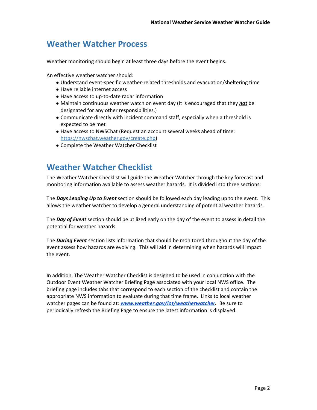# **Weather Watcher Process**

Weather monitoring should begin at least three days before the event begins.

An effective weather watcher should:

- Understand event-specific weather-related thresholds and evacuation/sheltering time
- Have reliable internet access
- Have access to up-to-date radar information
- Maintain continuous weather watch on event day (It is encouraged that they *not* be designated for any other responsibilities.)
- Communicate directly with incident command staff, especially when a threshold is expected to be met
- Have access to NWSChat (Request an account several weeks ahead of time: [https://nwschat.weather.gov/create.php\)](https://nwschat.weather.gov/create.php)
- Complete the Weather Watcher Checklist

# **Weather Watcher Checklist**

The Weather Watcher Checklist will guide the Weather Watcher through the key forecast and monitoring information available to assess weather hazards. It is divided into three sections:

The *Days Leading Up to Event* section should be followed each day leading up to the event. This allows the weather watcher to develop a general understanding of potential weather hazards.

The *Day of Event* section should be utilized early on the day of the event to assess in detail the potential for weather hazards.

The *During Event* section lists information that should be monitored throughout the day of the event assess how hazards are evolving. This will aid in determining when hazards will impact the event.

In addition, The Weather Watcher Checklist is designed to be used in conjunction with the Outdoor Event Weather Watcher Briefing Page associated with your local NWS office. The briefing page includes tabs that correspond to each section of the checklist and contain the appropriate NWS information to evaluate during that time frame. Links to local weather watcher pages can be found at: *[www.weather.gov/lot/weatherwatcher.](http://www.weather.gov/lot/weatherwatcher)* Be sure to periodically refresh the Briefing Page to ensure the latest information is displayed.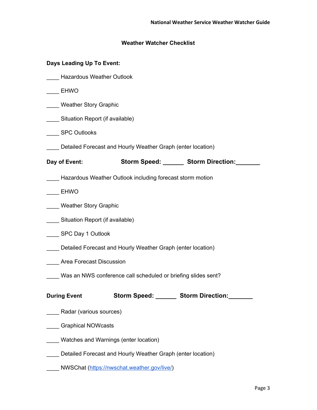### **Weather Watcher Checklist**

### **Days Leading Up To Event:**

- \_\_\_\_ Hazardous Weather Outlook
- \_\_\_\_ EHWO
- **Weather Story Graphic**
- **Example 21** Situation Report (if available)
- \_\_\_\_ SPC Outlooks
- \_\_\_\_ Detailed Forecast and Hourly Weather Graph (enter location)

**Day of Event: Storm Speed: \_\_\_\_\_\_ Storm Direction:\_\_\_\_\_\_\_**

- \_\_\_\_ Hazardous Weather Outlook including forecast storm motion
- \_\_\_\_ EHWO
- Weather Story Graphic
- Situation Report (if available)
- SPC Day 1 Outlook
- \_\_\_\_ Detailed Forecast and Hourly Weather Graph (enter location)
- **Example 25 Area Forecast Discussion**
- \_\_\_\_ Was an NWS conference call scheduled or briefing slides sent?

| <b>During Event</b> | <b>Storm Speed:</b> | <b>Storm Direction:</b> |
|---------------------|---------------------|-------------------------|
|                     |                     |                         |

- \_\_\_\_ Radar (various sources)
- \_\_\_\_ Graphical NOWcasts
- \_\_\_\_ Watches and Warnings (enter location)
- Detailed Forecast and Hourly Weather Graph (enter location)
- NWSChat [\(https://nwschat.weather.gov/live/\)](https://nwschat.weather.gov/live/)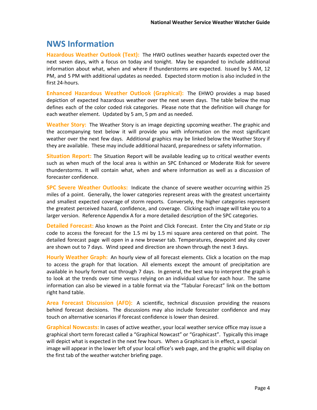### **NWS Information**

**Hazardous Weather Outlook (Text):** The HWO outlines weather hazards expected over the next seven days, with a focus on today and tonight. May be expanded to include additional information about what, when and where if thunderstorms are expected. Issued by 5 AM, 12 PM, and 5 PM with additional updates as needed. Expected storm motion is also included in the first 24-hours.

**Enhanced Hazardous Weather Outlook (Graphical):** The EHWO provides a map based depiction of expected hazardous weather over the next seven days. The table below the map defines each of the color coded risk categories. Please note that the definition will change for each weather element. Updated by 5 am, 5 pm and as needed.

**Weather Story:** The Weather Story is an image depicting upcoming weather. The graphic and the accompanying text below it will provide you with information on the most significant weather over the next few days. Additional graphics may be linked below the Weather Story if they are available. These may include additional hazard, preparedness or safety information.

**Situation Report:** The Situation Report will be available leading up to critical weather events such as when much of the local area is within an SPC Enhanced or Moderate Risk for severe thunderstorms. It will contain what, when and where information as well as a discussion of forecaster confidence.

**SPC Severe Weather Outlooks:** Indicate the chance of severe weather occurring within 25 miles of a point. Generally, the lower categories represent areas with the greatest uncertainty and smallest expected coverage of storm reports. Conversely, the higher categories represent the greatest perceived hazard, confidence, and coverage. Clicking each image will take you to a larger version. Reference Appendix A for a more detailed description of the SPC categories.

**Detailed Forecast:** Also known as the Point and Click Forecast. Enter the City and State or zip code to access the forecast for the 1.5 mi by 1.5 mi square area centered on that point. The detailed forecast page will open in a new browser tab. Temperatures, dewpoint and sky cover are shown out to 7 days. Wind speed and direction are shown through the next 3 days.

**Hourly Weather Graph:** An hourly view of all forecast elements. Click a location on the map to access the graph for that location. All elements except the amount of precipitation are available in hourly format out through 7 days. In general, the best way to interpret the graph is to look at the trends over time versus relying on an individual value for each hour. The same information can also be viewed in a table format via the "Tabular Forecast" link on the bottom right hand table.

**Area Forecast Discussion (AFD):** A scientific, technical discussion providing the reasons behind forecast decisions. The discussions may also include forecaster confidence and may touch on alternative scenarios if forecast confidence is lower than desired.

**Graphical Nowcasts:** In cases of active weather, your local weather service office may issue a graphical short term forecast called a "Graphical Nowcast" or "Graphicast". Typically this image will depict what is expected in the next few hours. When a Graphicast is in effect, a special image will appear in the lower left of your local office's web page, and the graphic will display on the first tab of the weather watcher briefing page.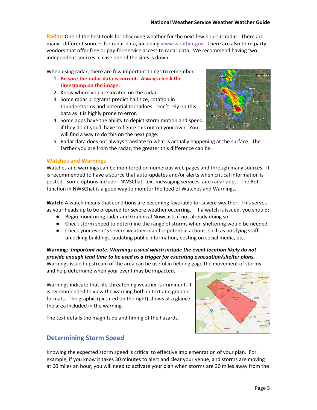**Radar:** One of the best tools for observing weather for the next few hours is radar. There are many different sources for radar data, including [www.weather.gov](http://www.weather.gov/). There are also third party vendors that offer free or pay-for-service access to radar data. We recommend having two independent sources in case one of the sites is down.

When using radar, there are few important things to remember:

- **1. Be sure the radar data is current. Always check the timestamp on the image.**
- 2. Know where you are located on the radar.
- 3. Some radar programs predict hail size, rotation in thunderstorms and potential tornadoes. Don't rely on this data as it is highly prone to error.
- 4. Some apps have the ability to depict storm motion and speed, if they don't you'll have to figure this out on your own. You will find a way to do this on the next page.



5. Radar data does not always translate to what is actually happening at the surface. The farther you are from the radar, the greater this difference can be.

#### **Watches and Warnings**

Watches and warnings can be monitored on numerous web pages and through many sources. It is recommended to have a source that auto-updates and/or alerts when critical information is posted. Some options include: NWSChat, text messaging services, and radar apps. The Bot function in NWSChat is a good way to monitor the feed of Watches and Warnings.

**Watch:** A watch means that conditions are becoming favorable for severe weather. This serves as your heads up to be prepared for severe weather occurring. If a watch is issued, you should:

- Begin monitoring radar and Graphical Nowcasts if not already doing so.
- Check storm speed to determine the range of storms when sheltering would be needed.
- Check your event's severe weather plan for potential actions, such as notifying staff, unlocking buildings, updating public information, posting on social media, etc.

#### **Warning:** *Important note: Warnings issued which include the event location likely do not provide enough lead time to be used as a trigger for executing evacuation/shelter plans.*

Warnings issued upstream of the area can be useful in helping gage the movement of storms and help determine when your event may be impacted.

Warnings indicate that life-threatening weather is imminent. It

is recommended to view the warning both in text and graphic formats. The graphic (pictured on the right) shows at a glance the area included in the warning.

The text details the magnitude and timing of the hazards.



### **Determining Storm Speed**

Knowing the expected storm speed is critical to effective implementation of your plan. For example, if you know it takes 30 minutes to alert and clear your venue, and storms are moving at 60 miles an hour, you will need to activate your plan when storms are 30 miles away from the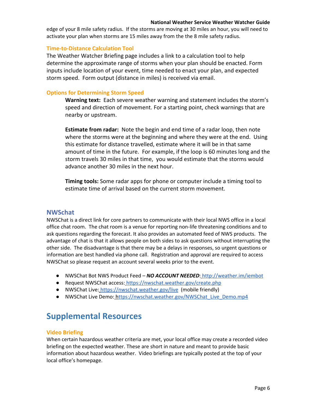#### **National Weather Service Weather Watcher Guide**

edge of your 8 mile safety radius. If the storms are moving at 30 miles an hour, you will need to activate your plan when storms are 15 miles away from the the 8 mile safety radius.

### **Time-to-Distance Calculation Tool**

The Weather Watcher Briefing page includes a link to a calculation tool to help determine the approximate range of storms when your plan should be enacted. Form inputs include location of your event, time needed to enact your plan, and expected storm speed. Form output (distance in miles) is received via email.

### **Options for Determining Storm Speed**

**Warning text:** Each severe weather warning and statement includes the storm's speed and direction of movement. For a starting point, check warnings that are nearby or upstream.

**Estimate from radar:** Note the begin and end time of a radar loop, then note where the storms were at the beginning and where they were at the end. Using this estimate for distance travelled, estimate where it will be in that same amount of time in the future. For example, if the loop is 60 minutes long and the storm travels 30 miles in that time, you would estimate that the storms would advance another 30 miles in the next hour.

**Timing tools:** Some radar apps for phone or computer include a timing tool to estimate time of arrival based on the current storm movement.

### **NWSchat**

NWSChat is a direct link for core partners to communicate with their local NWS office in a local office chat room. The chat room is a venue for reporting non-life threatening conditions and to ask questions regarding the forecast. It also provides an automated feed of NWS products. The advantage of chat is that it allows people on both sides to ask questions without interrupting the other side. The disadvantage is that there may be a delays in responses, so urgent questions or information are best handled via phone call. Registration and approval are required to access NWSChat so please request an account several weeks prior to the event.

- NWSChat Bot NWS Product Feed *NO ACCOUNT NEEDED*: [http://weather.im/iembot](http://weather.im/iembot/)
- Request NWSChat access: <https://nwschat.weather.gov/create.php>
- NWSChat Live[:](https://nwschat.weather.gov/live/) [https://nwschat.weather.gov/live](https://nwschat.weather.gov/live/) (mobile friendly)
- NWSChat Live Demo: [https://nwschat.weather.gov/NWSChat\\_Live\\_Demo.mp4](https://nwschat.weather.gov/NWSChat_Live_Demo.mp4)

# **Supplemental Resources**

### **Video Briefing**

When certain hazardous weather criteria are met, your local office may create a recorded video briefing on the expected weather. These are short in nature and meant to provide basic information about hazardous weather. Video briefings are typically posted at the top of your local office's homepage.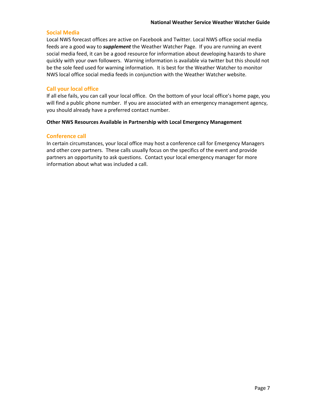#### **Social Media**

Local NWS forecast offices are active on Facebook and Twitter. Local NWS office social media feeds are a good way to *supplement* the Weather Watcher Page. If you are running an event social media feed, it can be a good resource for information about developing hazards to share quickly with your own followers. Warning information is available via twitter but this should not be the sole feed used for warning information. It is best for the Weather Watcher to monitor NWS local office social media feeds in conjunction with the Weather Watcher website.

### **Call your local office**

If all else fails, you can call your local office. On the bottom of your local office's home page, you will find a public phone number. If you are associated with an emergency management agency, you should already have a preferred contact number.

### **Other NWS Resources Available in Partnership with Local Emergency Management**

#### **Conference call**

In certain circumstances, your local office may host a conference call for Emergency Managers and other core partners. These calls usually focus on the specifics of the event and provide partners an opportunity to ask questions. Contact your local emergency manager for more information about what was included a call.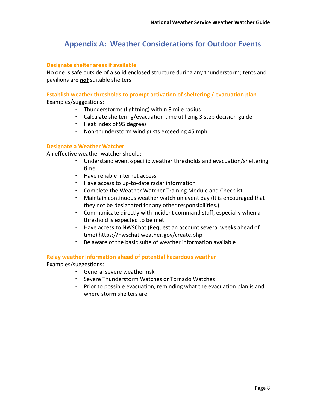### **Appendix A: Weather Considerations for Outdoor Events**

### **Designate shelter areas if available**

No one is safe outside of a solid enclosed structure during any thunderstorm; tents and pavilions are *not* suitable shelters

### **Establish weather thresholds to prompt activation of sheltering / evacuation plan** Examples/suggestions:

- Thunderstorms (lightning) within 8 mile radius
- Calculate sheltering/evacuation time utilizing 3 step decision guide
- Heat index of 95 degrees
- Non-thunderstorm wind gusts exceeding 45 mph

### **Designate a Weather Watcher**

An effective weather watcher should:

- Understand event-specific weather thresholds and evacuation/sheltering time
- Have reliable internet access
- Have access to up-to-date radar information
- Complete the Weather Watcher Training Module and Checklist
- Maintain continuous weather watch on event day (It is encouraged that they not be designated for any other responsibilities.)
- Communicate directly with incident command staff, especially when a threshold is expected to be met
- Have access to NWSChat (Request an account several weeks ahead of time)<https://nwschat.weather.gov/create.php>
- Be aware of the basic suite of weather information available

### **Relay weather information ahead of potential hazardous weather**

Examples/suggestions:

- General severe weather risk
- Severe Thunderstorm Watches or Tornado Watches
- Prior to possible evacuation, reminding what the evacuation plan is and where storm shelters are.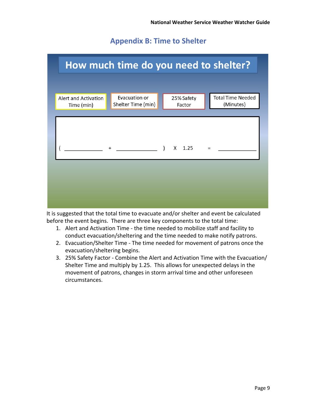### **Appendix B: Time to Shelter**



It is suggested that the total time to evacuate and/or shelter and event be calculated before the event begins. There are three key components to the total time:

- 1. Alert and Activation Time the time needed to mobilize staff and facility to conduct evacuation/sheltering and the time needed to make notify patrons.
- 2. Evacuation/Shelter Time The time needed for movement of patrons once the evacuation/sheltering begins.
- 3. 25% Safety Factor Combine the Alert and Activation Time with the Evacuation/ Shelter Time and multiply by 1.25. This allows for unexpected delays in the movement of patrons, changes in storm arrival time and other unforeseen circumstances.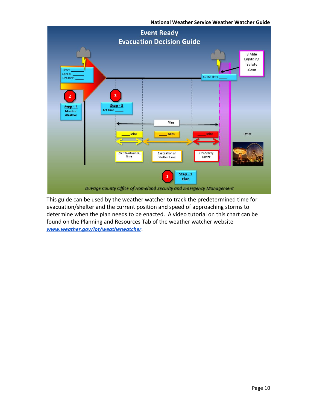

This guide can be used by the weather watcher to track the predetermined time for evacuation/shelter and the current position and speed of approaching storms to determine when the plan needs to be enacted. A video tutorial on this chart can be found on the Planning and Resources Tab of the weather watcher website *[www.weather.gov/lot/weatherwatcher](http://www.weather.gov/lot/weatherwatcher)*.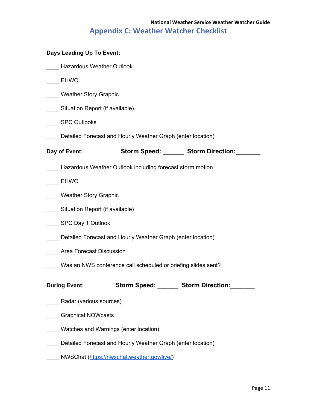### **National Weather Service Weather Watcher Guide Appendix C: Weather Watcher Checklist**

| Days Leading Up To Event:                                     |                                                             |                               |  |
|---------------------------------------------------------------|-------------------------------------------------------------|-------------------------------|--|
| <b>Hazardous Weather Outlook</b>                              |                                                             |                               |  |
| <b>EHWO</b>                                                   |                                                             |                               |  |
| <b>Weather Story Graphic</b>                                  |                                                             |                               |  |
| Situation Report (if available)                               |                                                             |                               |  |
| <b>SPC Outlooks</b>                                           |                                                             |                               |  |
|                                                               | Detailed Forecast and Hourly Weather Graph (enter location) |                               |  |
| Day of Event:                                                 |                                                             | Storm Speed: Storm Direction: |  |
| Hazardous Weather Outlook including forecast storm motion     |                                                             |                               |  |
| <b>EHWO</b>                                                   |                                                             |                               |  |
| <b>Weather Story Graphic</b>                                  |                                                             |                               |  |
| Situation Report (if available)                               |                                                             |                               |  |
| SPC Day 1 Outlook                                             |                                                             |                               |  |
| Detailed Forecast and Hourly Weather Graph (enter location)   |                                                             |                               |  |
| Area Forecast Discussion                                      |                                                             |                               |  |
| Was an NWS conference call scheduled or briefing slides sent? |                                                             |                               |  |
| <b>During Event:</b>                                          | Storm Speed: ______ Storm Direction:                        |                               |  |
| Radar (various sources)                                       |                                                             |                               |  |
| <b>Graphical NOWcasts</b>                                     |                                                             |                               |  |
|                                                               | Watches and Warnings (enter location)                       |                               |  |
| Detailed Forecast and Hourly Weather Graph (enter location)   |                                                             |                               |  |
|                                                               | NWSChat (https://nwschat.weather.gov/live/)                 |                               |  |